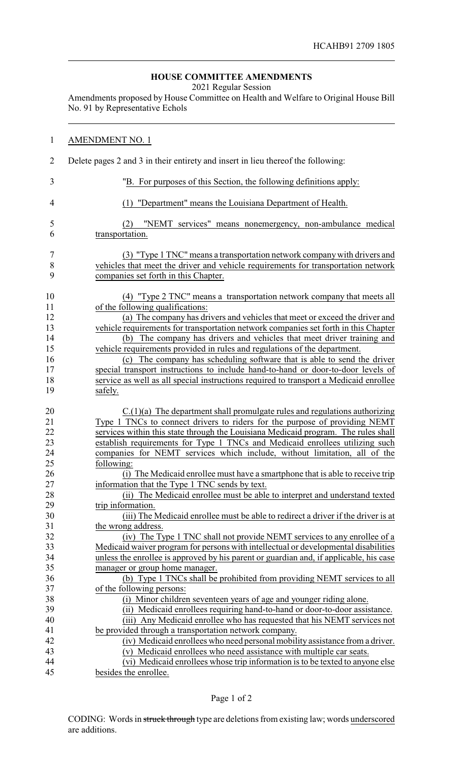## **HOUSE COMMITTEE AMENDMENTS**

2021 Regular Session

Amendments proposed by House Committee on Health and Welfare to Original House Bill No. 91 by Representative Echols

| $\mathbf{1}$     | <b>AMENDMENT NO. 1</b>                                                                                                                                 |
|------------------|--------------------------------------------------------------------------------------------------------------------------------------------------------|
| $\overline{2}$   | Delete pages 2 and 3 in their entirety and insert in lieu thereof the following:                                                                       |
| 3                | "B. For purposes of this Section, the following definitions apply:                                                                                     |
| $\overline{4}$   | (1) "Department" means the Louisiana Department of Health.                                                                                             |
| 5                | "NEMT services" means nonemergency, non-ambulance medical<br>(2)                                                                                       |
| 6                | transportation.                                                                                                                                        |
| $\boldsymbol{7}$ | (3) "Type 1 TNC" means a transportation network company with drivers and                                                                               |
| $8\,$            | vehicles that meet the driver and vehicle requirements for transportation network                                                                      |
| 9                | companies set forth in this Chapter.                                                                                                                   |
| 10               | (4) "Type 2 TNC" means a transportation network company that meets all                                                                                 |
| 11               | of the following qualifications:                                                                                                                       |
| 12               | (a) The company has drivers and vehicles that meet or exceed the driver and                                                                            |
| 13               | vehicle requirements for transportation network companies set forth in this Chapter                                                                    |
| 14               | (b) The company has drivers and vehicles that meet driver training and                                                                                 |
| 15               | vehicle requirements provided in rules and regulations of the department.                                                                              |
| 16               | (c) The company has scheduling software that is able to send the driver                                                                                |
| 17               | special transport instructions to include hand-to-hand or door-to-door levels of                                                                       |
| 18               | service as well as all special instructions required to transport a Medicaid enrollee                                                                  |
| 19               | safely.                                                                                                                                                |
| 20               | $C(1)(a)$ The department shall promulgate rules and regulations authorizing                                                                            |
| 21               | Type 1 TNCs to connect drivers to riders for the purpose of providing NEMT                                                                             |
| 22               | services within this state through the Louisiana Medicaid program. The rules shall                                                                     |
| 23               | establish requirements for Type 1 TNCs and Medicaid enrollees utilizing such                                                                           |
| 24               | companies for NEMT services which include, without limitation, all of the                                                                              |
| 25               | following:                                                                                                                                             |
| 26               | (i) The Medicaid enrollee must have a smartphone that is able to receive trip                                                                          |
| 27               | information that the Type 1 TNC sends by text.                                                                                                         |
| 28               | (ii) The Medicaid enrollee must be able to interpret and understand texted                                                                             |
| 29               | trip information.                                                                                                                                      |
| 30               | (iii) The Medicaid enrollee must be able to redirect a driver if the driver is at                                                                      |
| 31               | the wrong address.                                                                                                                                     |
| 32               | (iv) The Type 1 TNC shall not provide NEMT services to any enrollee of a                                                                               |
| 33               | Medicaid waiver program for persons with intellectual or developmental disabilities                                                                    |
| 34               | unless the enrollee is approved by his parent or guardian and, if applicable, his case                                                                 |
| 35               | manager or group home manager.                                                                                                                         |
| 36               | (b) Type 1 TNCs shall be prohibited from providing NEMT services to all                                                                                |
| 37               | of the following persons:                                                                                                                              |
| 38<br>39         | (i) Minor children seventeen years of age and younger riding alone.                                                                                    |
| 40               | (ii) Medicaid enrollees requiring hand-to-hand or door-to-door assistance.<br>(iii) Any Medicaid enrollee who has requested that his NEMT services not |
| 41               | be provided through a transportation network company.                                                                                                  |
| 42               | (iv) Medicaid enrollees who need personal mobility assistance from a driver.                                                                           |
| 43               | (v) Medicaid enrollees who need assistance with multiple car seats.                                                                                    |
| 44               | (vi) Medicaid enrollees whose trip information is to be texted to anyone else                                                                          |
| 45               | besides the enrollee.                                                                                                                                  |
|                  |                                                                                                                                                        |